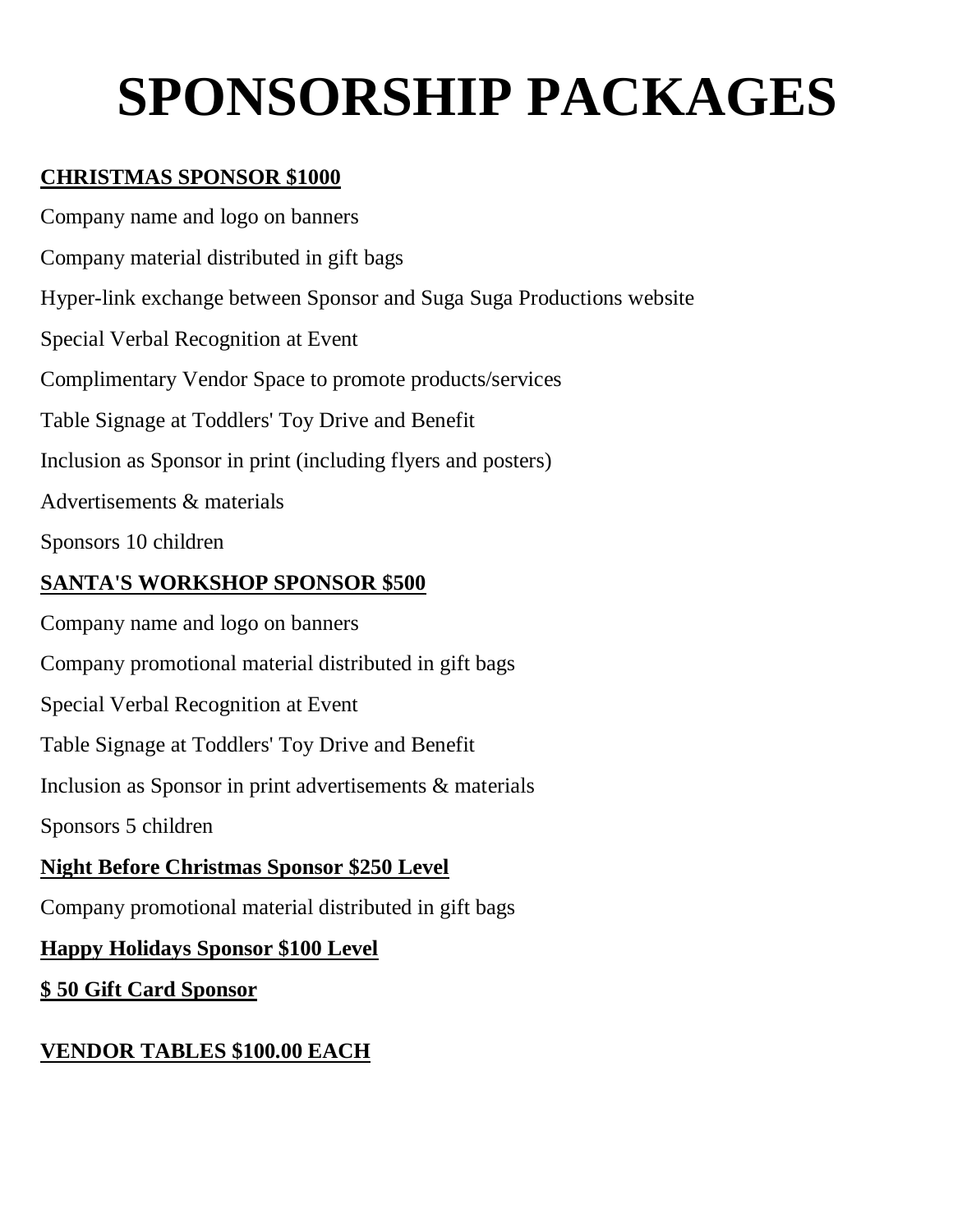# **SPONSORSHIP PACKAGES**

#### **CHRISTMAS SPONSOR \$1000**

Company name and logo on banners Company material distributed in gift bags Hyper-link exchange between Sponsor and Suga Suga Productions website Special Verbal Recognition at Event Complimentary Vendor Space to promote products/services Table Signage at Toddlers' Toy Drive and Benefit Inclusion as Sponsor in print (including flyers and posters) Advertisements & materials Sponsors 10 children

#### **SANTA'S WORKSHOP SPONSOR \$500**

Company name and logo on banners

Company promotional material distributed in gift bags

Special Verbal Recognition at Event

Table Signage at Toddlers' Toy Drive and Benefit

Inclusion as Sponsor in print advertisements & materials

Sponsors 5 children

#### **Night Before Christmas Sponsor \$250 Level**

Company promotional material distributed in gift bags

#### **Happy Holidays Sponsor \$100 Level**

#### **\$ 50 Gift Card Sponsor**

#### **VENDOR TABLES \$100.00 EACH**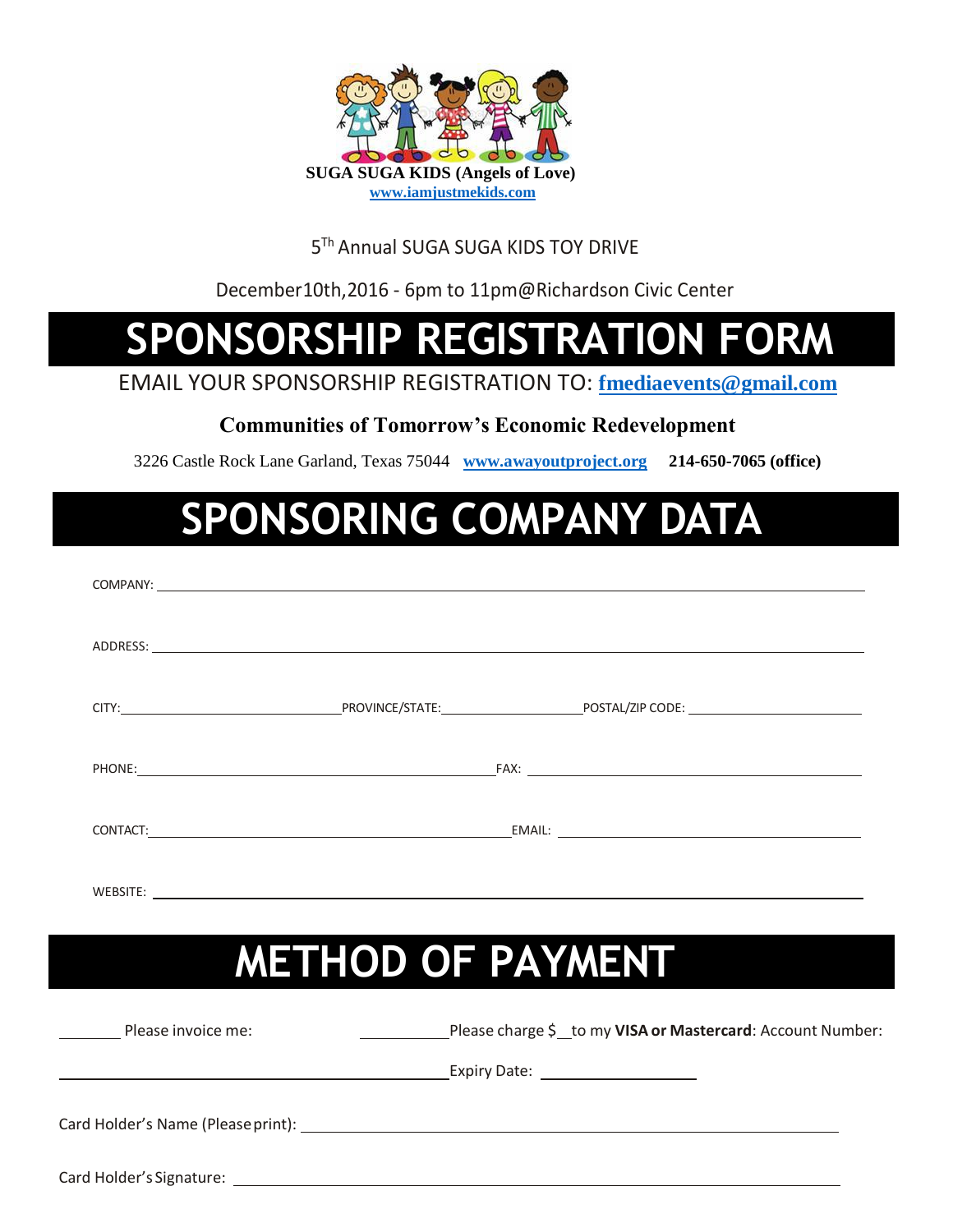

#### 5<sup>™</sup> Annual SUGA SUGA KIDS TOY DRIVE

December10th,2016 - 6pm to 11pm@Richardson Civic Center

### **SPONSORSHIP REGISTRATION FORM**

EMAIL YOUR SPONSORSHIP REGISTRATION TO: **[fmediaevents@gmail.com](mailto:fmediaevents@gmail.com)**

#### **Communities of Tomorrow's Economic Redevelopment**

3226 Castle Rock Lane Garland, Texas 75044 **[www.awayoutproject.org](http://www.awayoutproject.org/) 214-650-7065 (office)**

### **SPONSORING COMPANY DATA**

|                    |                          | ADDRESS: North and the contract of the contract of the contract of the contract of the contract of the contract of the contract of the contract of the contract of the contract of the contract of the contract of the contrac |
|--------------------|--------------------------|--------------------------------------------------------------------------------------------------------------------------------------------------------------------------------------------------------------------------------|
|                    |                          |                                                                                                                                                                                                                                |
|                    |                          |                                                                                                                                                                                                                                |
|                    |                          |                                                                                                                                                                                                                                |
|                    |                          |                                                                                                                                                                                                                                |
|                    | <b>METHOD OF PAYMENT</b> |                                                                                                                                                                                                                                |
| Please invoice me: |                          | Please charge \$ _ to my VISA or Mastercard: Account Number:                                                                                                                                                                   |
|                    |                          |                                                                                                                                                                                                                                |
|                    |                          |                                                                                                                                                                                                                                |